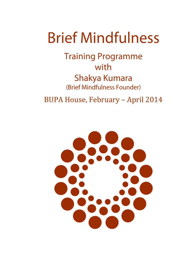# **Brief Mindfulness**

**Training Programme** with Shakya Kumara (Brief Mindfulness Founder)

BUPA House, February – April 2014

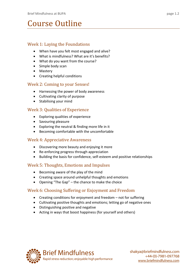## Course Outline

#### Week 1: Laying the Foundations

- When have you felt most engaged and alive?
- What is mindfulness? What are it's benefits?
- What do you want from the course?
- Simple body scan
- Mastery
- Creating helpful conditions

#### Week 2: Coming to your Senses!

- Harnessing the power of body awareness
- Cultivating clarity of purpose
- Stabilising your mind

#### Week 3: Qualities of Experience

- Exploring qualities of experience
- Savouring pleasure
- Exploring the neutral & finding more life in it
- Becoming comfortable with the uncomfortable

#### Week 4: Appreciative Awareness

- Discovering more beauty and enjoying it more
- Re-enforcing progress through appreciation
- Building the basis for confidence, self-esteem and positive relationships

#### Week 5: Thoughts, Emotions and Impulses

- Becoming aware of the play of the mind
- Creating space around unhelpful thoughts and emotions
- Opening "The Gap" the chance to make the choice

#### Week 6: Choosing Suffering or Enjoyment and Freedom

- Creating conditions for enjoyment and freedom not for suffering
- Cultivating positive thoughts and emotions; letting go of negative ones
- Distinguishing positive and negative
- Acting in ways that boost happiness (for yourself and others)

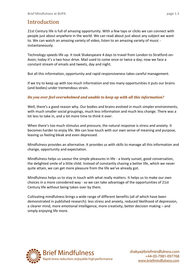### Introduction

21st Century life is full of amazing opportunity. With a few taps or clicks we can connect with people just about anywhere in the world. We can read about just about any subject we want to. We can watch an amazing variety of video, listen to an amazing variety of music instantaneously.

Technology speeds life up. It took Shakespeare 4 days to travel from London to Stratford-on-Avon; today it's a two hour drive. Mail used to come once or twice a day; now we face a constant stream of emails and tweets, day and night.

But all this information, opportunity and rapid responsiveness takes careful management.

If we try to keep up with too much information and too many opportunities it puts our brains (and bodies) under tremendous strain.

#### *Do you ever feel overwhelmed and unable to keep up with all this information?*

Well, there's a good reason why. Our bodies and brains evolved in much simpler environments, with much smaller social groupings, much less information and much less change. There was a lot less to take in, and a lot more time to think it over.

When there's too much stimulus and pressure, the natural response is stress and anxiety. It becomes harder to enjoy life. We can lose touch with our own sense of meaning and purpose, leaving us feeling bleak and even depressed.

Mindfulness provides an alternative. It provides us with skills to manage all this information and change, opportunity and expectation.

Mindfulness helps us savour the simple pleasures in life - a lovely sunset, good conversation, the delighted smile of a little child. Instead of constantly chasing a better life, which we never quite attain, we can get more pleasure from the life we've already got.

Mindfulness helps us to stay in touch with what really matters. It helps us to make our own choices in a more considered way - so we can take advantage of the opportunities of 21st Century life without being taken over by them.

Cultivating mindfulness brings a wide range of different benefits (all of which have been demonstrated in published research): less stress and anxiety, reduced likelihood of depression, a clearer mind, more emotional intelligence, more creativity, better decision making – and simply enjoying life more.

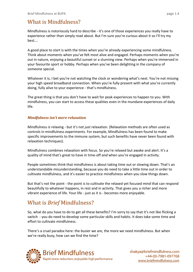## What is Mindfulness?

Mindfulness is notoriously hard to describe - it's one of those experiences you really have to experience rather than simply read about. But I'm sure you're curious about it so I'll try my best….

A good place to start is with the times when you're already experiencing some mindfulness. Think about moments when you've felt most alive and engaged. Perhaps moments when you're out in nature, enjoying a beautiful sunset or a stunning view. Perhaps when you're immersed in your favourite sport or hobby. Perhaps when you've been delighting in the company of someone special.

Whatever it is, I bet you're not watching the clock or wondering what's next. You're not missing your high speed broadband connection. When you're fully present with what you're currently doing, fully alive to your experience - that's mindfulness.

The great thing is that you don't have to wait for peak experiences to happen to you. With mindfulness, you can start to access these qualities even in the mundane experiences of daily life.

#### *Mindfulness isn't mere relaxation*

Mindfulness *is* relaxing - but it's not *just* relaxation. (Relaxation methods are often used as controls in mindfulness experiments. For example, Mindfulness has been found to make specific improvements to the immune system, but such benefits have never been found with relaxation techniques).

Mindfulness combines relaxation with focus. So you're relaxed but awake and alert. It's a quality of mind that's great to have in time-off *and* when you're engaged in activity.

People sometimes think that mindfulness is about taking time out or slowing down. That's an understandable misunderstanding, because you do need to take a little time out in order to cultivate mindfulness, and it's easier to practice mindfulness when you slow things down.

But that's not the point - the point is to cultivate the relaxed yet focused mind that can respond beautifully to whatever happens, in rest and in activity. That gives you a richer and more vibrant experience of life. Your life - just as it is - becomes more enjoyable.

### What is *Brief* Mindfulness?

So, what do you have to do to get all these benefits? I'm sorry to say that it's not like flicking a switch - you do need to develop some particular skills and habits. It does take some time and effort to cultivate mindfulness.

There's a cruel paradox here: the busier we are, the more we need mindfulness. But when we're really busy, how can we find the time?

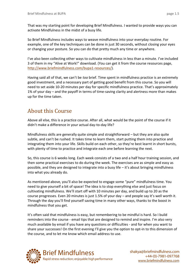That was my starting point for developing Brief Mindfulness. I wanted to provide ways you can activate Mindfulness in the midst of a busy life.

So Brief Mindfulness includes ways to weave mindfulness into your everyday routine. For example, one of the key techniques can be done in just 30 seconds, without closing your eyes or changing your posture. So you can do that pretty much any time or anywhere.

I've also been collecting other ways to cultivate mindfulness in less than a minute. I've included 3 of them in my "Alive at Work!" download. (You can get it from the course resources page, [http://www.briefmindfulness.com/bupa1-resources/\)](http://www.briefmindfulness.com/bupa1-resources/).

Having said all of that, we can't be *too* brief. Time spent in mindfulness practice is an extremely good investment, and a necessary part of getting good benefit from this course. So you will need to set aside 10-20 minutes per day for specific mindfulness practice. That's approximately 1% of your day – and the payoff in terms of time-saving clarity and alertness more than makes up for the time taken.

### About this Course

Above all else, this is a practice course. After all, what would be the point of the course if it didn't make a difference in your actual day-to-day life?

Mindfulness skills are generally quite simple and straightforward – but they are also quite subtle, and can't be rushed. It takes time to learn them, start putting them into practice and integrating them into your life. Skills build on each other, so they're best learnt in short bursts, with plenty of time to practice and integrate each one before learning the next.

So, this course is 6 weeks long. Each week consists of a two and a half hour training session, and then some practical exercises to do during the week. The exercises are as simple and easy as possible, and they are designed to integrate into a busy life – it's about bringing mindfulness into what you already do.

As mentioned above, you'll also be expected to engage some "pure" mindfulness time. You need to give yourself a bit of space! The idea is to stop everything else and just focus on cultivating mindfulness. We'll start off with 10 minutes per day, and build up to 20 as the course progresses. Even 20 minutes is just 1.5% of your day – and people say it's well worth it. Through the day you'll find yourself saving time in many other ways, thanks to the boost in mindfulness that you get.

It's often said that mindfulness is easy, but remembering to be mindful is hard. So I build reminders into the course - email tips that are designed to remind and inspire. I'm also very much available by email if you have any questions or difficulties - and for when you want to share your successes! On the first evening I'll give you the option to opt-in to this dimension of the course, and to let me know which email address to use.

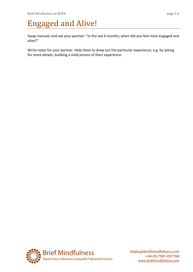## Engaged and Alive!

Swap manuals and ask your partner: "In the last 6 months, when did you feel most engaged and alive?"

Write notes for your partner. Help them to draw out the particular experience, e.g. by asking for more details, building a vivid picture of their experience.

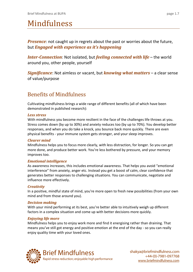## Mindfulness

*Presence*: not caught up in regrets about the past or worries about the future, but *Engaged with experience as it's happening*

*Inter-Connection*: Not isolated, but *feeling connected with life* – the world around you, other people, yourself

*Significance*: Not aimless or vacant, but *knowing what matters* – a clear sense of value/purpose

### Benefits of Mindfulness

Cultivating mindfulness brings a wide range of different benefits (all of which have been demonstrated in published research):

#### *Less stress*

With mindfulness you become more resilient in the face of the challenges life throws at you. Stress comes down (by up to 30%) and anxiety reduces too (by up to 70%). You develop better responses, and when you do take a knock, you bounce back more quickly. There are even physical benefits - your immune system gets stronger, and your sleep improves.

#### *Clearer mind*

Mindfulness helps you to focus more clearly, with less distraction, for longer. So you can get more done, and produce better work. You're less bothered by pressure, and your memory improves too.

#### *Emotional intelligence*

As awareness increases, this includes emotional awareness. That helps you avoid "emotional interference" from anxiety, anger etc. Instead you get a boost of calm, clear confidence that generates better responses to challenging situations. You can communicate, negotiate and influence more effectively.

#### *Creativity*

In a positive, mindful state of mind, you're more open to fresh new possibilities (from your own mind and from those around you).

#### *Decision making*

With your mind performing at its best, you're better able to intuitively weigh up different factors in a complex situation and come up with better decisions more quickly.

#### *Enjoying life more*

Mindfulness helps you to enjoy work more and find it energising rather than draining. That means you've still got energy and positive emotion at the end of the day - so you can really enjoy quality time with your loved ones.

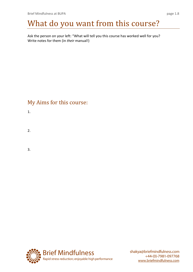## What do you want from this course?

Ask the person on your left: "What will tell you this course has worked well for you? Write notes for them (in *their* manual!)

## My Aims for this course:

1.

2.

3.

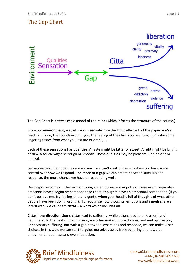

The Gap Chart is a very simple model of the mind (which informs the structure of the course.)

From our **environment**, we get various **sensations** – the light reflected off the paper you're reading this on, the sounds around you, the feeling of the chair you're sitting in, maybe some lingering tastes from what you last ate or drank,….

Each of these sensations has **qualities**. A taste might be bitter or sweet. A light might be bright or dim. A touch might be rough or smooth. These qualities may be pleasant, unpleasant or neutral.

Sensations and their qualities are a given – we can't control them. But we *can* have some control over how we respond. The more of a **gap** we can create between stimulus and response, the more chance we have of responding well.

Our response comes in the form of thoughts, emotions and impulses. These aren't separate emotions have a cognitive component to them, thoughts have an emotional component. (If you don't believe me, try feeling kind and gentle when your head is full of thoughts of what other people have been doing wrong!). To recognise how thoughts, emotions and impulses are all interlinked, we call them c**ittas –** a word which includes all 3.

Cittas have **direction**. Some cittas lead to suffering, while others lead to enjoyment and happiness. In the heat of the moment, we often make unwise choices, and end up creating unnecessary suffering. But with a gap between sensations and response, we can make wiser choices. In this way, we can start to guide ourselves away from suffering and towards enjoyment, happiness and even liberation.

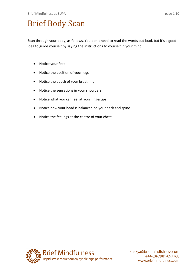## Brief Body Scan

Scan through your body, as follows. You don't need to read the words out loud, but it's a good idea to guide yourself by saying the instructions to yourself in your mind

- Notice your feet
- Notice the position of your legs
- Notice the depth of your breathing
- Notice the sensations in your shoulders
- Notice what you can feel at your fingertips
- Notice how your head is balanced on your neck and spine
- Notice the feelings at the centre of your chest

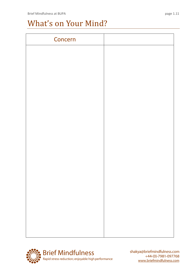## What's on Your Mind?

| Concern |  |
|---------|--|
|         |  |
|         |  |
|         |  |
|         |  |
|         |  |
|         |  |
|         |  |
|         |  |
|         |  |
|         |  |
|         |  |
|         |  |
|         |  |
|         |  |
|         |  |
|         |  |
|         |  |

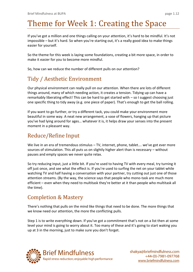## Theme for Week 1: Creating the Space

If you've got a million and one things calling on your attention, it's hard to be mindful. It's not impossible – but it's hard. So when you're starting out, it's a really good idea to make things easier for yourself.

So the theme for this week is laying some foundations, creating a bit more space, in order to make it easier for you to become more mindful.

So, how can we reduce the number of different pulls on our attention?

## Tidy / Aesthetic Environment

Our physical environment can really pull on our attention. When there are lots of different things around, many of which needing action, it creates a tension. Tidying up can have a remarkably liberating effect! This can be hard to get started with – so I suggest choosing just one specific thing to tidy away (e.g. one piece of paper). That's enough to get the ball rolling.

If you want to go further, or try a different tack, you could make your environment more beautiful in some way. A neat new arrangement, a vase of flowers, hanging up that picture you've had lying around for ages… whatever it is, it helps draw your senses into the present moment in a pleasant way.

## Reduce/Refine Input

We live in an era of tremendous stimulus - TV, internet, phone, tablet.... we've got ever more sources of stimulation. This all puts us on slightly higher alert than is necessary – without pauses and empty spaces we never quite relax.

So try reducing input, just a little bit. If you're used to having TV with every meal, try turning it off just once, and see what the effect is. If you're used to surfing the net on your tablet while watching TV and half having a conversation with your partner, try cutting out just one of those attention streams. (By the way, the science says that people who mono-task are much more efficient – even when they need to multitask they're better at it than people who multitask all the time).

### Completion & Mastery

There's nothing that pulls on the mind like things that need to be done. The more things that we know need our attention, the more the conflicting pulls.

Step 1 is to write everything down. If you've got a commitment that's not on a list then at some level your mind is going to worry about it. Too many of these and it's going to start waking you up at 3 in the morning, just to make sure you don't forget.

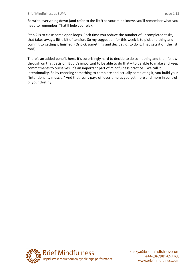So write everything down (and refer to the list!) so your mind knows you'll remember what you need to remember. That'll help you relax.

Step 2 is to close some open loops. Each time you reduce the number of uncompleted tasks, that takes away a little bit of tension. So my suggestion for this week is to pick one thing and commit to getting it finished. (Or pick something and decide *not* to do it. That gets it off the list too!).

There's an added benefit here. It's surprisingly hard to decide to do something and then follow through on that decision. But it's important to be able to do that – to be able to make and keep commitments to ourselves. It's an important part of mindfulness practice – we call it intentionality. So by choosing something to complete and actually completing it, you build your "intentionality muscle." And that really pays off over time as you get more and more in control of your destiny.

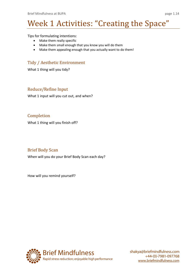## Week 1 Activities: "Creating the Space"

Tips for formulating intentions:

- Make them really specific
- Make them small enough that you know you will do them
- Make them appealing enough that you actually want to do them!

#### Tidy / Aesthetic Environment

What 1 thing will you tidy?

#### Reduce/Refine Input

What 1 input will you cut out, and when?

#### Completion

What 1 thing will you finish off?

#### Brief Body Scan

When will you do your Brief Body Scan each day?

How will you remind yourself?